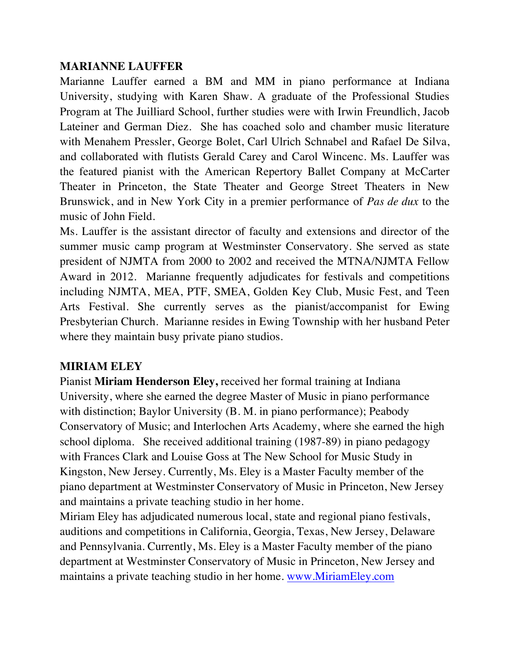## **MARIANNE LAUFFER**

Marianne Lauffer earned a BM and MM in piano performance at Indiana University, studying with Karen Shaw. A graduate of the Professional Studies Program at The Juilliard School, further studies were with Irwin Freundlich, Jacob Lateiner and German Diez. She has coached solo and chamber music literature with Menahem Pressler, George Bolet, Carl Ulrich Schnabel and Rafael De Silva, and collaborated with flutists Gerald Carey and Carol Wincenc. Ms. Lauffer was the featured pianist with the American Repertory Ballet Company at McCarter Theater in Princeton, the State Theater and George Street Theaters in New Brunswick, and in New York City in a premier performance of *Pas de dux* to the music of John Field.

Ms. Lauffer is the assistant director of faculty and extensions and director of the summer music camp program at Westminster Conservatory. She served as state president of NJMTA from 2000 to 2002 and received the MTNA/NJMTA Fellow Award in 2012. Marianne frequently adjudicates for festivals and competitions including NJMTA, MEA, PTF, SMEA, Golden Key Club, Music Fest, and Teen Arts Festival. She currently serves as the pianist/accompanist for Ewing Presbyterian Church. Marianne resides in Ewing Township with her husband Peter where they maintain busy private piano studios.

## **MIRIAM ELEY**

Pianist **Miriam Henderson Eley,** received her formal training at Indiana University, where she earned the degree Master of Music in piano performance with distinction; Baylor University (B. M. in piano performance); Peabody Conservatory of Music; and Interlochen Arts Academy, where she earned the high school diploma. She received additional training (1987-89) in piano pedagogy with Frances Clark and Louise Goss at The New School for Music Study in Kingston, New Jersey. Currently, Ms. Eley is a Master Faculty member of the piano department at Westminster Conservatory of Music in Princeton, New Jersey and maintains a private teaching studio in her home.

Miriam Eley has adjudicated numerous local, state and regional piano festivals, auditions and competitions in California, Georgia, Texas, New Jersey, Delaware and Pennsylvania. Currently, Ms. Eley is a Master Faculty member of the piano department at Westminster Conservatory of Music in Princeton, New Jersey and maintains a private teaching studio in her home. www.MiriamEley.com